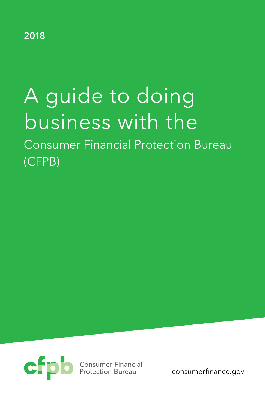**2018**

# Consumer Financial Protection Bureau (CFPB) A guide to doing business with the



Consumer Financial

Protection Bureau consumerfinance.gov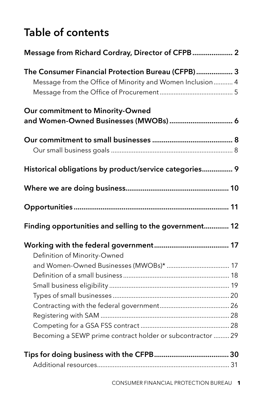## **Table of contents**

| Message from Richard Cordray, Director of CFPB 2                                                               |  |
|----------------------------------------------------------------------------------------------------------------|--|
| The Consumer Financial Protection Bureau (CFPB) 3<br>Message from the Office of Minority and Women Inclusion 4 |  |
| Our commitment to Minority-Owned<br>and Women-Owned Businesses (MWOBs) 6                                       |  |
|                                                                                                                |  |
| Historical obligations by product/service categories 9                                                         |  |
|                                                                                                                |  |
|                                                                                                                |  |
| Finding opportunities and selling to the government 12                                                         |  |
| Definition of Minority-Owned                                                                                   |  |
| and Women-Owned Businesses (MWOBs)*  17                                                                        |  |
|                                                                                                                |  |
|                                                                                                                |  |
|                                                                                                                |  |
|                                                                                                                |  |
|                                                                                                                |  |
|                                                                                                                |  |
| Becoming a SEWP prime contract holder or subcontractor  29                                                     |  |
|                                                                                                                |  |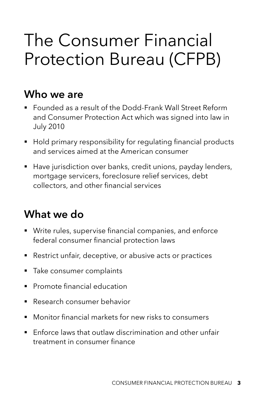# <span id="page-3-0"></span>The Consumer Financial Protection Bureau (CFPB)

## **Who we are**

- Founded as a result of the Dodd-Frank Wall Street Reform and Consumer Protection Act which was signed into law in July 2010
- Hold primary responsibility for regulating financial products and services aimed at the American consumer
- **•** Have jurisdiction over banks, credit unions, payday lenders, mortgage servicers, foreclosure relief services, debt collectors, and other financial services

## **What we do**

- Write rules, supervise financial companies, and enforce federal consumer financial protection laws
- Restrict unfair, deceptive, or abusive acts or practices
- **•** Take consumer complaints
- Promote financial education
- § Research consumer behavior
- Monitor financial markets for new risks to consumers
- Enforce laws that outlaw discrimination and other unfair treatment in consumer finance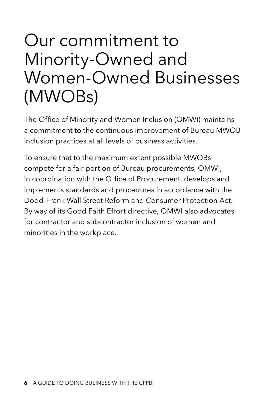## <span id="page-4-0"></span>Our commitment to Minority-Owned and Women-Owned Businesses (MWOBs)

The Office of Minority and Women Inclusion (OMWI) maintains a commitment to the continuous improvement of Bureau MWOB inclusion practices at all levels of business activities.

To ensure that to the maximum extent possible MWOBs compete for a fair portion of Bureau procurements, OMWI, in coordination with the Office of Procurement, develops and implements standards and procedures in accordance with the Dodd-Frank Wall Street Reform and Consumer Protection Act. By way of its Good Faith Effort directive, OMWI also advocates for contractor and subcontractor inclusion of women and minorities in the workplace.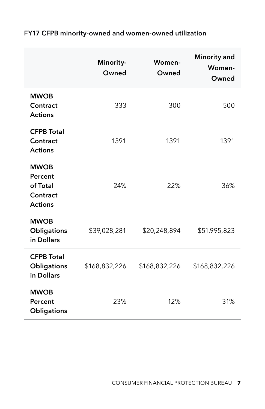|                                                                  | Minority-<br>Owned | Women-<br>Owned | <b>Minority and</b><br>Women-<br>Owned |
|------------------------------------------------------------------|--------------------|-----------------|----------------------------------------|
| <b>MWOB</b><br>Contract<br><b>Actions</b>                        | 333                | 300             | 500                                    |
| <b>CFPB Total</b><br>Contract<br><b>Actions</b>                  | 1391               | 1391            | 1391                                   |
| <b>MWOB</b><br>Percent<br>of Total<br>Contract<br><b>Actions</b> | 24%                | 22%             | 36%                                    |
| <b>MWOB</b><br>Obligations<br>in Dollars                         | \$39,028,281       | \$20,248,894    | \$51,995,823                           |
| <b>CFPB Total</b><br>Obligations<br>in Dollars                   | \$168,832,226      | \$168,832,226   | \$168,832,226                          |
| <b>MWOB</b><br>Percent<br>Obligations                            | 23%                | 12%             | 31%                                    |

#### **FY17 CFPB minority-owned and women-owned utilization**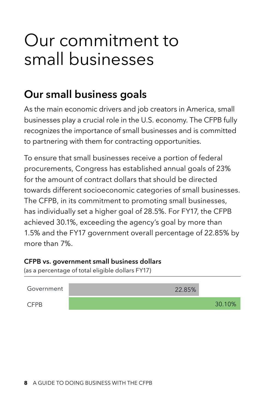# <span id="page-6-0"></span>Our commitment to small businesses

## **Our small business goals**

As the main economic drivers and job creators in America, small businesses play a crucial role in the U.S. economy. The CFPB fully recognizes the importance of small businesses and is committed to partnering with them for contracting opportunities.

To ensure that small businesses receive a portion of federal procurements, Congress has established annual goals of 23% for the amount of contract dollars that should be directed towards different socioeconomic categories of small businesses. The CFPB, in its commitment to promoting small businesses, has individually set a higher goal of 28.5%. For FY17, the CFPB achieved 30.1%, exceeding the agency's goal by more than 1.5% and the FY17 government overall percentage of 22.85% by more than 7%.

#### **CFPB vs. government small business dollars**

(as a percentage of total eligible dollars FY17)

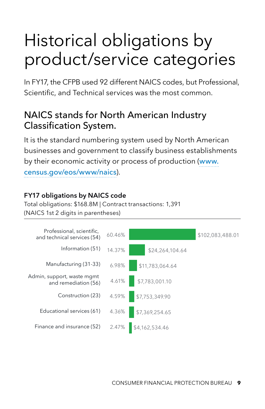# <span id="page-7-0"></span>Historical obligations by product/service categories

In FY17, the CFPB used 92 different NAICS codes, but Professional, Scientific, and Technical services was the most common.

#### NAICS stands for North American Industry Classification System.

It is the standard numbering system used by North American businesses and government to classify business establishments by their economic activity or process of production ([www.](http://www.census.gov/eos/www/naics) [census.gov/eos/www/naics](http://www.census.gov/eos/www/naics)).

#### **FY17 obligations by NAICS code**

Total obligations: \$168.8M | Contract transactions: 1,391 (NAICS 1st 2 digits in parentheses)

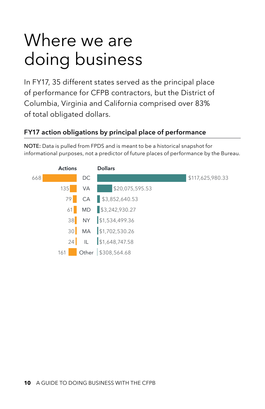# <span id="page-8-0"></span>Where we are doing business

In FY17, 35 different states served as the principal place of performance for CFPB contractors, but the District of Columbia, Virginia and California comprised over 83% of total obligated dollars.

#### **FY17 action obligations by principal place of performance**

NOTE: Data is pulled from FPDS and is meant to be a historical snapshot for informational purposes, not a predictor of future places of performance by the Bureau.

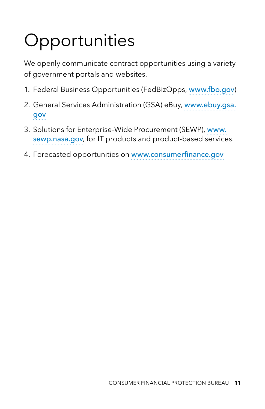# <span id="page-9-0"></span>**Opportunities**

We openly communicate contract opportunities using a variety of government portals and websites.

- 1. Federal Business Opportunities (FedBizOpps, [www.fbo.gov](http://www.fbo.gov))
- 2. General Services Administration (GSA) eBuy, [www.ebuy.gsa.](http://www.ebuy.gsa.gov) [gov](http://www.ebuy.gsa.gov)
- 3. Solutions for Enterprise-Wide Procurement (SEWP), [www.](http://www.sewp.nasa.gov) [sewp.nasa.gov](http://www.sewp.nasa.gov), for IT products and product-based services.
- 4. Forecasted opportunities on www.consumerfinance.gov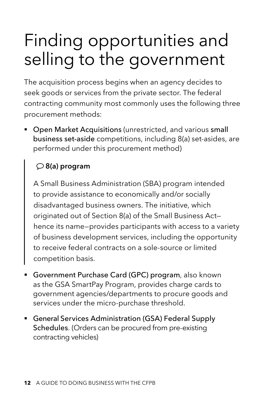# <span id="page-10-0"></span>Finding opportunities and selling to the government

The acquisition process begins when an agency decides to seek goods or services from the private sector. The federal contracting community most commonly uses the following three procurement methods:

■ Open Market Acquisitions (unrestricted, and various small business set-aside competitions, including 8(a) set-asides, are performed under this procurement method)

#### æ **8(a) program**

A Small Business Administration (SBA) program intended to provide assistance to economically and/or socially disadvantaged business owners. The initiative, which originated out of Section 8(a) of the Small Business Act hence its name—provides participants with access to a variety of business development services, including the opportunity to receive federal contracts on a sole-source or limited competition basis.

- § Government Purchase Card (GPC) program, also known as the GSA SmartPay Program, provides charge cards to government agencies/departments to procure goods and services under the micro-purchase threshold.
- General Services Administration (GSA) Federal Supply Schedules. (Orders can be procured from pre-existing contracting vehicles)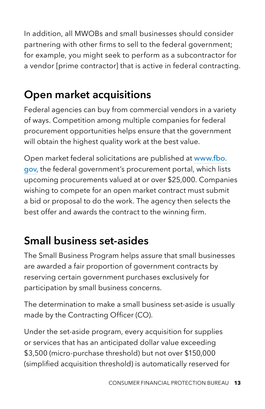In addition, all MWOBs and small businesses should consider partnering with other firms to sell to the federal government; for example, you might seek to perform as a subcontractor for a vendor [prime contractor] that is active in federal contracting.

## **Open market acquisitions**

Federal agencies can buy from commercial vendors in a variety of ways. Competition among multiple companies for federal procurement opportunities helps ensure that the government will obtain the highest quality work at the best value.

Open market federal solicitations are published at [www.fbo.](http://www.fbo.gov) [gov](http://www.fbo.gov), the federal government's procurement portal, which lists upcoming procurements valued at or over \$25,000. Companies wishing to compete for an open market contract must submit a bid or proposal to do the work. The agency then selects the best offer and awards the contract to the winning firm.

## **Small business set-asides**

The Small Business Program helps assure that small businesses are awarded a fair proportion of government contracts by reserving certain government purchases exclusively for participation by small business concerns.

The determination to make a small business set-aside is usually made by the Contracting Officer (CO).

Under the set-aside program, every acquisition for supplies or services that has an anticipated dollar value exceeding \$3,500 (micro-purchase threshold) but not over \$150,000 (simplified acquisition threshold) is automatically reserved for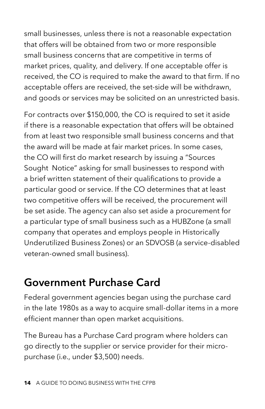small businesses, unless there is not a reasonable expectation that offers will be obtained from two or more responsible small business concerns that are competitive in terms of market prices, quality, and delivery. If one acceptable offer is received, the CO is required to make the award to that firm. If no acceptable offers are received, the set-side will be withdrawn, and goods or services may be solicited on an unrestricted basis.

For contracts over \$150,000, the CO is required to set it aside if there is a reasonable expectation that offers will be obtained from at least two responsible small business concerns and that the award will be made at fair market prices. In some cases, the CO will first do market research by issuing a "Sources Sought Notice" asking for small businesses to respond with a brief written statement of their qualifications to provide a particular good or service. If the CO determines that at least two competitive offers will be received, the procurement will be set aside. The agency can also set aside a procurement for a particular type of small business such as a HUBZone (a small company that operates and employs people in Historically Underutilized Business Zones) or an SDVOSB (a service-disabled veteran-owned small business).

## **Government Purchase Card**

Federal government agencies began using the purchase card in the late 1980s as a way to acquire small-dollar items in a more efficient manner than open market acquisitions.

The Bureau has a Purchase Card program where holders can go directly to the supplier or service provider for their micropurchase (i.e., under \$3,500) needs.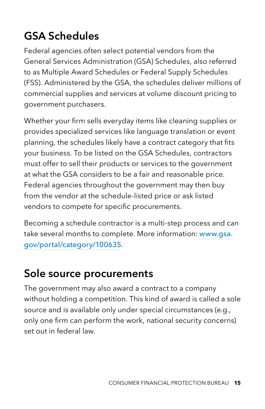## **GSA Schedules**

Federal agencies often select potential vendors from the General Services Administration (GSA) Schedules, also referred to as Multiple Award Schedules or Federal Supply Schedules (FSS). Administered by the GSA, the schedules deliver millions of commercial supplies and services at volume discount pricing to government purchasers.

Whether your firm sells everyday items like cleaning supplies or provides specialized services like language translation or event planning, the schedules likely have a contract category that fits your business. To be listed on the GSA Schedules, contractors must offer to sell their products or services to the government at what the GSA considers to be a fair and reasonable price. Federal agencies throughout the government may then buy from the vendor at the schedule-listed price or ask listed vendors to compete for specific procurements.

Becoming a schedule contractor is a multi-step process and can take several months to complete. More information: [www.gsa.](http://www.gsa.gov/portal/category/100635) [gov/portal/category/100635](http://www.gsa.gov/portal/category/100635).

## **Sole source procurements**

The government may also award a contract to a company without holding a competition. This kind of award is called a sole source and is available only under special circumstances (e.g., only one firm can perform the work, national security concerns) set out in federal law.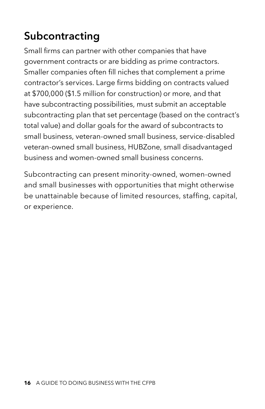## **Subcontracting**

Small firms can partner with other companies that have government contracts or are bidding as prime contractors. Smaller companies often fill niches that complement a prime contractor's services. Large firms bidding on contracts valued at \$700,000 (\$1.5 million for construction) or more, and that have subcontracting possibilities, must submit an acceptable subcontracting plan that set percentage (based on the contract's total value) and dollar goals for the award of subcontracts to small business, veteran-owned small business, service-disabled veteran-owned small business, HUBZone, small disadvantaged business and women-owned small business concerns.

Subcontracting can present minority-owned, women-owned and small businesses with opportunities that might otherwise be unattainable because of limited resources, staffing, capital, or experience.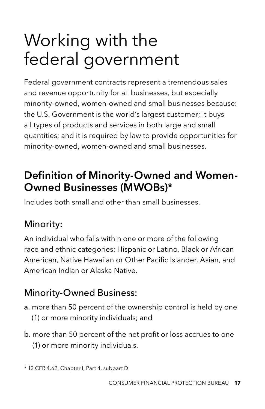# <span id="page-15-0"></span>Working with the federal government

Federal government contracts represent a tremendous sales and revenue opportunity for all businesses, but especially minority-owned, women-owned and small businesses because: the U.S. Government is the world's largest customer; it buys all types of products and services in both large and small quantities; and it is required by law to provide opportunities for minority-owned, women-owned and small businesses.

## **Definition of Minority-Owned and Women-Owned Businesses (MWOBs)\***

Includes both small and other than small businesses.

### Minority:

An individual who falls within one or more of the following race and ethnic categories: Hispanic or Latino, Black or African American, Native Hawaiian or Other Pacific Islander, Asian, and American Indian or Alaska Native.

### Minority-Owned Business:

- a. more than 50 percent of the ownership control is held by one (1) or more minority individuals; and
- b. more than 50 percent of the net profit or loss accrues to one (1) or more minority individuals.

<sup>\* 12</sup> CFR 4.62, Chapter I, Part 4, subpart D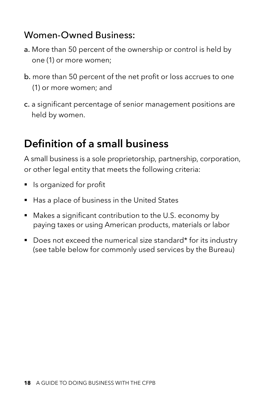#### <span id="page-16-0"></span>Women-Owned Business:

- a. More than 50 percent of the ownership or control is held by one (1) or more women;
- b. more than 50 percent of the net profit or loss accrues to one (1) or more women; and
- c. a significant percentage of senior management positions are held by women.

## **Definition of a small business**

A small business is a sole proprietorship, partnership, corporation, or other legal entity that meets the following criteria:

- Is organized for profit
- Has a place of business in the United States
- Makes a significant contribution to the U.S. economy by paying taxes or using American products, materials or labor
- Does not exceed the numerical size standard\* for its industry (see table below for commonly used services by the Bureau)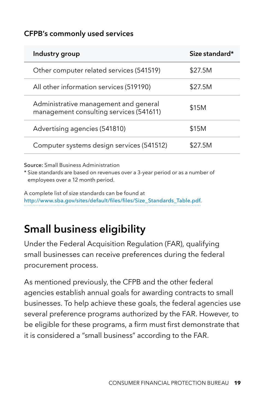#### <span id="page-17-0"></span>**CFPB's commonly used services**

| Industry group                                                                   | Size standard* |
|----------------------------------------------------------------------------------|----------------|
| Other computer related services (541519)                                         | \$27.5M        |
| All other information services (519190)                                          | \$27.5M        |
| Administrative management and general<br>management consulting services (541611) | \$15M          |
| Advertising agencies (541810)                                                    | \$15M          |
| Computer systems design services (541512)                                        | \$27.5M        |

Source: Small Business Administration

\* Size standards are based on revenues over a 3-year period or as a number of employees over a 12 month period.

A complete list of size standards can be found at http://www.sba.gov/sites/default/files/files/Size\_Standards\_Table.pdf.

## **Small business eligibility**

Under the Federal Acquisition Regulation (FAR), qualifying small businesses can receive preferences during the federal procurement process.

As mentioned previously, the CFPB and the other federal agencies establish annual goals for awarding contracts to small businesses. To help achieve these goals, the federal agencies use several preference programs authorized by the FAR. However, to be eligible for these programs, a firm must first demonstrate that it is considered a "small business" according to the FAR.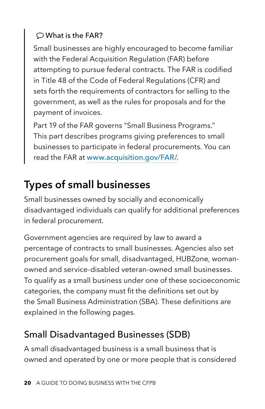#### <span id="page-18-0"></span> $\oslash$  What is the FAR?

Small businesses are highly encouraged to become familiar with the Federal Acquisition Regulation (FAR) before attempting to pursue federal contracts. The FAR is codified in Title 48 of the Code of Federal Regulations (CFR) and sets forth the requirements of contractors for selling to the government, as well as the rules for proposals and for the payment of invoices.

Part 19 of the FAR governs "Small Business Programs." This part describes programs giving preferences to small businesses to participate in federal procurements. You can read the FAR at [www.acquisition.gov/FAR/](http://www.acquisition.gov/FAR/).

## **Types of small businesses**

Small businesses owned by socially and economically disadvantaged individuals can qualify for additional preferences in federal procurement.

Government agencies are required by law to award a percentage of contracts to small businesses. Agencies also set procurement goals for small, disadvantaged, HUBZone, womanowned and service-disabled veteran-owned small businesses. To qualify as a small business under one of these socioeconomic categories, the company must fit the definitions set out by the Small Business Administration (SBA). These definitions are explained in the following pages.

## Small Disadvantaged Businesses (SDB)

A small disadvantaged business is a small business that is owned and operated by one or more people that is considered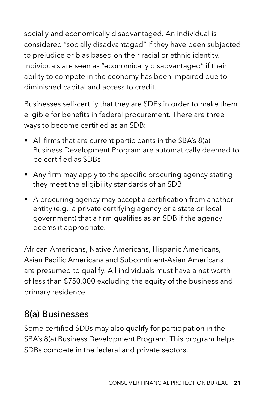socially and economically disadvantaged. An individual is considered "socially disadvantaged" if they have been subjected to prejudice or bias based on their racial or ethnic identity. Individuals are seen as "economically disadvantaged" if their ability to compete in the economy has been impaired due to diminished capital and access to credit.

Businesses self-certify that they are SDBs in order to make them eligible for benefits in federal procurement. There are three ways to become certified as an SDB:

- All firms that are current participants in the SBA's 8(a) Business Development Program are automatically deemed to be certified as SDBs
- Any firm may apply to the specific procuring agency stating they meet the eligibility standards of an SDB
- A procuring agency may accept a certification from another entity (e.g., a private certifying agency or a state or local government) that a firm qualifies as an SDB if the agency deems it appropriate.

African Americans, Native Americans, Hispanic Americans, Asian Pacific Americans and Subcontinent-Asian Americans are presumed to qualify. All individuals must have a net worth of less than \$750,000 excluding the equity of the business and primary residence.

### 8(a) Businesses

Some certified SDBs may also qualify for participation in the SBA's 8(a) Business Development Program. This program helps SDBs compete in the federal and private sectors.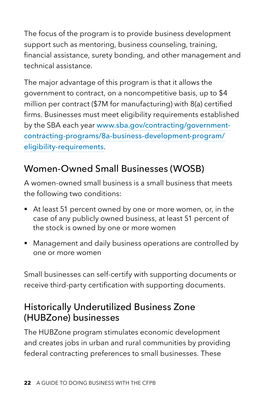The focus of the program is to provide business development support such as mentoring, business counseling, training, financial assistance, surety bonding, and other management and technical assistance.

The major advantage of this program is that it allows the government to contract, on a noncompetitive basis, up to \$4 million per contract (\$7M for manufacturing) with 8(a) certified firms. Businesses must meet eligibility requirements established by the SBA each year [www.sba.gov/contracting/government](http://www.sba.gov/contracting/government-contracting-programs/8a-business-development-program/eligibility-)[contracting-programs/8a-business-development-program/](http://www.sba.gov/contracting/government-contracting-programs/8a-business-development-program/eligibility-) [eligibility-requirements](http://www.sba.gov/contracting/government-contracting-programs/8a-business-development-program/eligibility-).

### Women-Owned Small Businesses (WOSB)

A women-owned small business is a small business that meets the following two conditions:

- At least 51 percent owned by one or more women, or, in the case of any publicly owned business, at least 51 percent of the stock is owned by one or more women
- Management and daily business operations are controlled by one or more women

Small businesses can self-certify with supporting documents or receive third-party certification with supporting documents.

### Historically Underutilized Business Zone (HUBZone) businesses

The HUBZone program stimulates economic development and creates jobs in urban and rural communities by providing federal contracting preferences to small businesses. These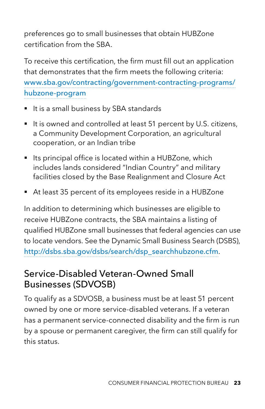preferences go to small businesses that obtain HUBZone certification from the SBA.

To receive this certification, the firm must fill out an application that demonstrates that the firm meets the following criteria:

[www.sba.gov/contracting/government-contracting-programs/](https://www.sba.gov/contracting/government-contracting-programs/hubzone-program) [hubzone-program](https://www.sba.gov/contracting/government-contracting-programs/hubzone-program)

- It is a small business by SBA standards
- It is owned and controlled at least 51 percent by U.S. citizens, a Community Development Corporation, an agricultural cooperation, or an Indian tribe
- Its principal office is located within a HUBZone, which includes lands considered "Indian Country" and military facilities closed by the Base Realignment and Closure Act
- At least 35 percent of its employees reside in a HUBZone

In addition to determining which businesses are eligible to receive HUBZone contracts, the SBA maintains a listing of qualified HUBZone small businesses that federal agencies can use to locate vendors. See the Dynamic Small Business Search (DSBS), http://dsbs.sba.gov/dsbs/search/dsp\_searchhubzone.cfm.

#### Service-Disabled Veteran-Owned Small Businesses (SDVOSB)

To qualify as a SDVOSB, a business must be at least 51 percent owned by one or more service-disabled veterans. If a veteran has a permanent service-connected disability and the firm is run by a spouse or permanent caregiver, the firm can still qualify for this status.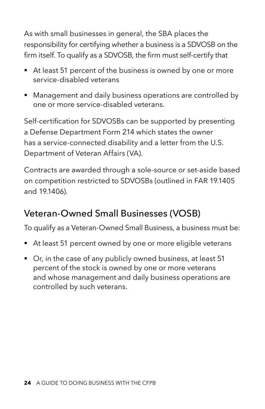As with small businesses in general, the SBA places the responsibility for certifying whether a business is a SDVOSB on the firm itself. To qualify as a SDVOSB, the firm must self-certify that

- At least 51 percent of the business is owned by one or more service-disabled veterans
- Management and daily business operations are controlled by one or more service-disabled veterans.

Self-certification for SDVOSBs can be supported by presenting a Defense Department Form 214 which states the owner has a service-connected disability and a letter from the U.S. Department of Veteran Affairs (VA).

Contracts are awarded through a sole-source or set-aside based on competition restricted to SDVOSBs (outlined in FAR 19.1405 and 19.1406).

### Veteran-Owned Small Businesses (VOSB)

To qualify as a Veteran-Owned Small Business, a business must be:

- At least 51 percent owned by one or more eligible veterans
- § Or, in the case of any publicly owned business, at least 51 percent of the stock is owned by one or more veterans and whose management and daily business operations are controlled by such veterans.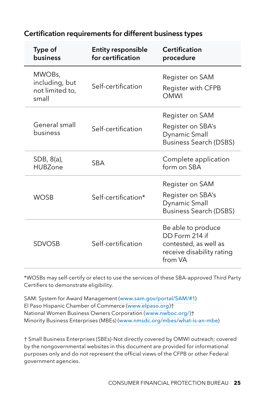#### **Certification requirements for different business types**

| Type of<br>business                                  | <b>Entity responsible</b><br>for certification | Certification<br>procedure                                                                            |
|------------------------------------------------------|------------------------------------------------|-------------------------------------------------------------------------------------------------------|
| MWOBs,<br>including, but<br>not limited to,<br>small | Self-certification                             | Register on SAM<br>Register with CFPB<br>OMWI                                                         |
| General small<br>business                            | Self-certification                             | Register on SAM<br>Register on SBA's<br>Dynamic Small<br><b>Business Search (DSBS)</b>                |
| SDB, 8(a)<br><b>HUBZone</b>                          | <b>SBA</b>                                     | Complete application<br>form on SBA                                                                   |
| <b>WOSB</b>                                          | Self-certification*                            | Register on SAM<br>Register on SBA's<br>Dynamic Small<br><b>Business Search (DSBS)</b>                |
| <b>SDVOSB</b>                                        | Self-certification                             | Be able to produce<br>DD Form 214 if<br>contested, as well as<br>receive disability rating<br>from VA |

\*WOSBs may self-certify or elect to use the services of these SBA-approved Third Party Certifiers to demonstrate eligibility.

SAM: System for Award Management ([www.sam.gov/portal/SAM/#1](http://www.sam.gov/portal/SAM/#1)) El Paso Hispanic Chamber of Commerce ([www.elpaso.org](http://www.elpaso.org/))† National Women Business Owners Corporation ([www.nwboc.org/](http://www.nwboc.org/))† Minority Business Enterprises (MBEs) ([www.nmsdc.org/mbes/what-is-an-mbe](http://www.nmsdc.org/mbes/what-is-an-mbe))

† Small Business Enterprises (SBEs)-Not directly covered by OMWI outreach; covered by the nongovernmental websites in this document are provided for informational purposes only and do not represent the official views of the CFPB or other Federal government agencies.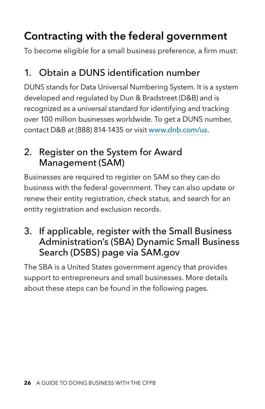## <span id="page-24-0"></span>**Contracting with the federal government**

To become eligible for a small business preference, a firm must:

### 1. Obtain a DUNS identification number

DUNS stands for Data Universal Numbering System. It is a system developed and regulated by Dun & Bradstreet (D&B) and is recognized as a universal standard for identifying and tracking over 100 million businesses worldwide. To get a DUNS number, contact D&B at (888) 814-1435 or visit www.dnb.com/us.

### 2. Register on the System for Award Management (SAM)

Businesses are required to register on SAM so they can do business with the federal government. They can also update or renew their entity registration, check status, and search for an entity registration and exclusion records.

### 3. If applicable, register with the Small Business Administration's (SBA) Dynamic Small Business Search (DSBS) page via SAM.gov

The SBA is a United States government agency that provides support to entrepreneurs and small businesses. More details about these steps can be found in the following pages.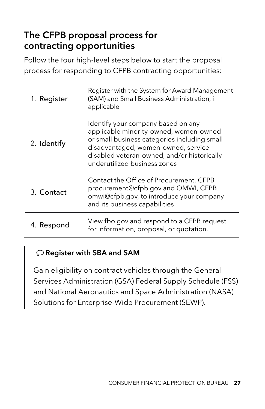### **The CFPB proposal process for contracting opportunities**

Follow the four high-level steps below to start the proposal process for responding to CFPB contracting opportunities:

| 1. Register | Register with the System for Award Management<br>(SAM) and Small Business Administration, if<br>applicable                                                                                                                                          |
|-------------|-----------------------------------------------------------------------------------------------------------------------------------------------------------------------------------------------------------------------------------------------------|
| 2. Identify | Identify your company based on any<br>applicable minority-owned, women-owned<br>or small business categories including small<br>disadvantaged, women-owned, service-<br>disabled veteran-owned, and/or historically<br>underutilized business zones |
| 3. Contact  | Contact the Office of Procurement, CFPB<br>procurement@cfpb.gov and OMWI, CFPB_<br>omwi@cfpb.gov, to introduce your company<br>and its business capabilities                                                                                        |
| 4. Respond  | View fbo.gov and respond to a CFPB request<br>for information, proposal, or quotation.                                                                                                                                                              |

#### æ **Register with SBA and SAM**

Gain eligibility on contract vehicles through the General Services Administration (GSA) Federal Supply Schedule (FSS) and National Aeronautics and Space Administration (NASA) Solutions for Enterprise-Wide Procurement (SEWP).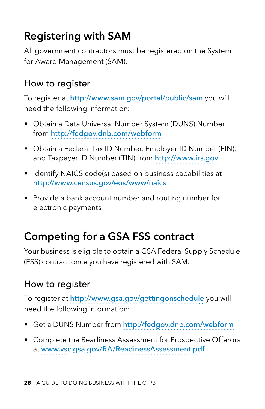## <span id="page-26-0"></span>**Registering with SAM**

All government contractors must be registered on the System for Award Management (SAM).

### How to register

To register at http://www.sam.gov/portal/public/sam you will need the following information:

- Obtain a Data Universal Number System (DUNS) Number from http://fedgov.dnb.com/webform
- Obtain a Federal Tax ID Number, Employer ID Number (EIN), and Taxpayer ID Number (TIN) from http://www.irs.gov
- Identify NAICS code(s) based on business capabilities at http://www.census.gov/eos/www/naics
- Provide a bank account number and routing number for electronic payments

## **Competing for a GSA FSS contract**

Your business is eligible to obtain a GSA Federal Supply Schedule (FSS) contract once you have registered with SAM.

#### How to register

To register at http://www.gsa.gov/gettingonschedule you will need the following information:

- Get a DUNS Number from http://fedgov.dnb.com/webform
- Complete the Readiness Assessment for Prospective Offerors at www.vsc.gsa.gov/RA/ReadinessAssessment.pdf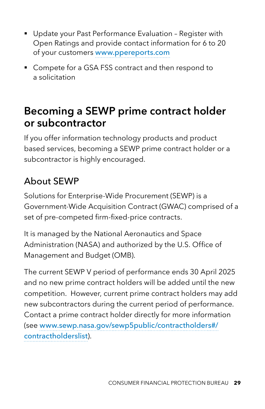- <span id="page-27-0"></span>■ Update your Past Performance Evaluation - Register with Open Ratings and provide contact information for 6 to 20 of your customers www.ppereports.com
- Compete for a GSA FSS contract and then respond to a solicitation

## **Becoming a SEWP prime contract holder or subcontractor**

If you offer information technology products and product based services, becoming a SEWP prime contract holder or a subcontractor is highly encouraged.

### About SEWP

Solutions for Enterprise-Wide Procurement (SEWP) is a Government-Wide Acquisition Contract (GWAC) comprised of a set of pre-competed firm-fixed-price contracts.

It is managed by the National Aeronautics and Space Administration (NASA) and authorized by the U.S. Office of Management and Budget (OMB).

The current SEWP V period of performance ends 30 April 2025 and no new prime contract holders will be added until the new competition. However, current prime contract holders may add new subcontractors during the current period of performance. Contact a prime contract holder directly for more information (see [www.sewp.nasa.gov/sewp5public/contractholders#/](https://www.sewp.nasa.gov/sewp5public/contractholders#/contractholderslist) [contractholderslist](https://www.sewp.nasa.gov/sewp5public/contractholders#/contractholderslist)).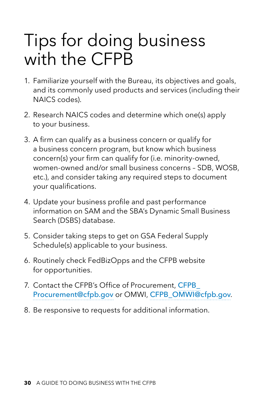# <span id="page-28-0"></span>Tips for doing business with the CFPB

- 1. Familiarize yourself with the Bureau, its objectives and goals, and its commonly used products and services (including their NAICS codes).
- 2. Research NAICS codes and determine which one(s) apply to your business.
- 3. A firm can qualify as a business concern or qualify for a business concern program, but know which business concern(s) your firm can qualify for (i.e. minority-owned, women-owned and/or small business concerns – SDB, WOSB, etc.), and consider taking any required steps to document your qualifications.
- 4. Update your business profile and past performance information on SAM and the SBA's Dynamic Small Business Search (DSBS) database.
- 5. Consider taking steps to get on GSA Federal Supply Schedule(s) applicable to your business.
- 6. Routinely check FedBizOpps and the CFPB website for opportunities.
- 7. Contact the CFPB's Office of Procurement, CFPB [Procurement@cfpb.gov](mailto:CFPB_Procurement%40cfpb.gov?subject=) or OMWI, [CFPB\\_OMWI@cfpb.gov](mailto:CFPB_OMWI%40cfpb.gov?subject=).
- 8. Be responsive to requests for additional information.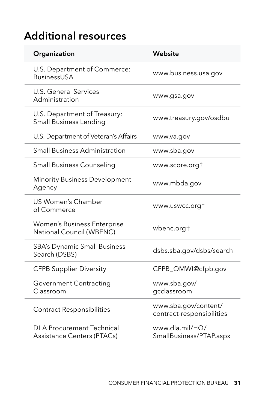## <span id="page-29-0"></span>**Additional resources**

| Organization                                                          | Website                                           |
|-----------------------------------------------------------------------|---------------------------------------------------|
| U.S. Department of Commerce:<br>BusinessUSA                           | www.business.usa.gov                              |
| U.S. General Services<br>Administration                               | www.gsa.gov                                       |
| U.S. Department of Treasury:<br><b>Small Business Lending</b>         | www.treasury.gov/osdbu                            |
| U.S. Department of Veteran's Affairs                                  | www.va.gov                                        |
| <b>Small Business Administration</b>                                  | www.sba.gov                                       |
| <b>Small Business Counseling</b>                                      | www.score.org <sup>+</sup>                        |
| <b>Minority Business Development</b><br>Agency                        | www.mbda.gov                                      |
| US Women's Chamber<br>of Commerce                                     | www.uswcc.org <sup>+</sup>                        |
| <b>Women's Business Enterprise</b><br>National Council (WBENC)        | wbenc.org†                                        |
| <b>SBA's Dynamic Small Business</b><br>Search (DSBS)                  | dsbs.sba.gov/dsbs/search                          |
| <b>CFPB Supplier Diversity</b>                                        | CFPB_OMWI@cfpb.gov                                |
| <b>Government Contracting</b><br>Classroom                            | www.sba.gov/<br>gcclassroom                       |
| <b>Contract Responsibilities</b>                                      | www.sba.gov/content/<br>contract-responsibilities |
| <b>DLA Procurement Technical</b><br><b>Assistance Centers (PTACs)</b> | www.dla.mil/HO/<br>SmallBusiness/PTAP.aspx        |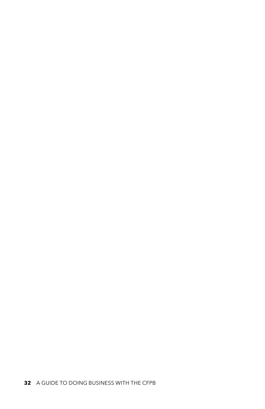#### A GUIDE TO DOING BUSINESS WITH THE CFPB